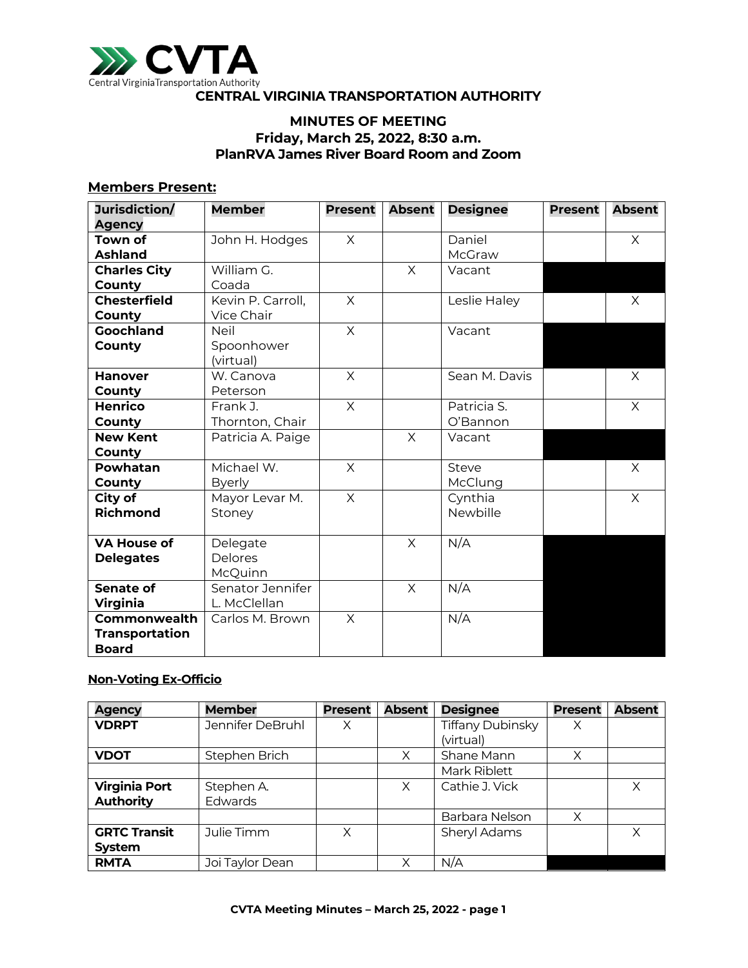

### **CENTRAL VIRGINIA TRANSPORTATION AUTHORITY**

# **MINUTES OF MEETING Friday, March 25, 2022, 8:30 a.m. PlanRVA James River Board Room and Zoom**

#### **Members Present:**

| Jurisdiction/         | <b>Member</b>     | <b>Present</b> | <b>Absent</b> | <b>Designee</b> | <b>Present</b> | <b>Absent</b> |
|-----------------------|-------------------|----------------|---------------|-----------------|----------------|---------------|
| <b>Agency</b>         |                   |                |               |                 |                |               |
| <b>Town of</b>        | John H. Hodges    | $\times$       |               | Daniel          |                | $\times$      |
| <b>Ashland</b>        |                   |                |               | McGraw          |                |               |
| <b>Charles City</b>   | William G.        |                | $\times$      | Vacant          |                |               |
| County                | Coada             |                |               |                 |                |               |
| <b>Chesterfield</b>   | Kevin P. Carroll, | X              |               | Leslie Haley    |                | $\times$      |
| <b>County</b>         | Vice Chair        |                |               |                 |                |               |
| Goochland             | <b>Neil</b>       | $\times$       |               | Vacant          |                |               |
| County                | Spoonhower        |                |               |                 |                |               |
|                       | (virtual)         |                |               |                 |                |               |
| <b>Hanover</b>        | W. Canova         | $\times$       |               | Sean M. Davis   |                | $\times$      |
| County                | Peterson          |                |               |                 |                |               |
| <b>Henrico</b>        | Frank J.          | $\times$       |               | Patricia S.     |                | X             |
| County                | Thornton, Chair   |                |               | O'Bannon        |                |               |
| <b>New Kent</b>       | Patricia A. Paige |                | X             | Vacant          |                |               |
| County                |                   |                |               |                 |                |               |
| Powhatan              | Michael W.        | $\times$       |               | Steve           |                | X             |
| County                | <b>Byerly</b>     |                |               | McClung         |                |               |
| City of               | Mayor Levar M.    | $\times$       |               | Cynthia         |                | $\times$      |
| <b>Richmond</b>       | Stoney            |                |               | Newbille        |                |               |
|                       |                   |                |               |                 |                |               |
| <b>VA House of</b>    | Delegate          |                | $\times$      | N/A             |                |               |
| <b>Delegates</b>      | Delores           |                |               |                 |                |               |
|                       | McQuinn           |                |               |                 |                |               |
| <b>Senate of</b>      | Senator Jennifer  |                | $\times$      | N/A             |                |               |
| <b>Virginia</b>       | L. McClellan      |                |               |                 |                |               |
| <b>Commonwealth</b>   | Carlos M. Brown   | $\times$       |               | N/A             |                |               |
| <b>Transportation</b> |                   |                |               |                 |                |               |
| <b>Board</b>          |                   |                |               |                 |                |               |

#### **Non-Voting Ex-Officio**

| <b>Agency</b>        | <b>Member</b>    | <b>Present</b> | <b>Absent</b> | <b>Designee</b>  | <b>Present</b> | <b>Absent</b> |
|----------------------|------------------|----------------|---------------|------------------|----------------|---------------|
| <b>VDRPT</b>         | Jennifer DeBruhl | Χ              |               | Tiffany Dubinsky | Χ              |               |
|                      |                  |                |               | (virtual)        |                |               |
| <b>VDOT</b>          | Stephen Brich    |                | X             | Shane Mann       | Χ              |               |
|                      |                  |                |               | Mark Riblett     |                |               |
| <b>Virginia Port</b> | Stephen A.       |                | X             | Cathie J. Vick   |                | Χ             |
| <b>Authority</b>     | <b>Edwards</b>   |                |               |                  |                |               |
|                      |                  |                |               | Barbara Nelson   | X              |               |
| <b>GRTC Transit</b>  | Julie Timm       | Χ              |               | Sheryl Adams     |                | Χ             |
| System               |                  |                |               |                  |                |               |
| <b>RMTA</b>          | Joi Taylor Dean  |                |               | N/A              |                |               |
|                      |                  |                |               |                  |                |               |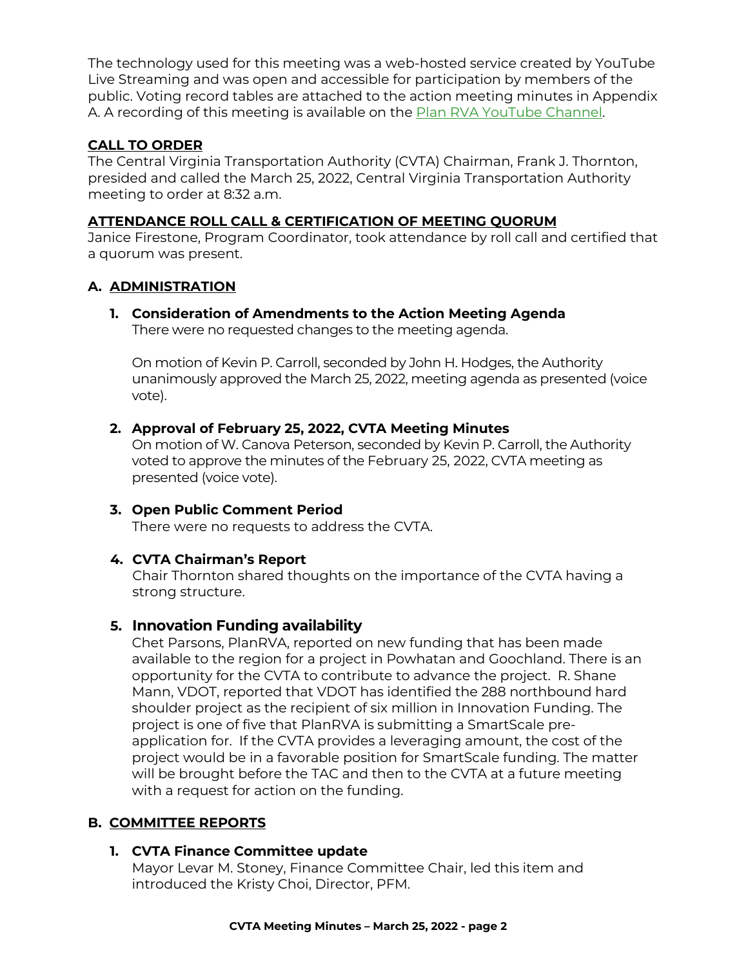The technology used for this meeting was a web-hosted service created by YouTube Live Streaming and was open and accessible for participation by members of the public. Voting record tables are attached to the action meeting minutes in Appendix A. A recording of this meeting is available on the [Plan RVA YouTube](https://www.youtube.com/watch?v=9T9RAUTcmGk) Channel.

# **CALL TO ORDER**

The Central Virginia Transportation Authority (CVTA) Chairman, Frank J. Thornton, presided and called the March 25, 2022, Central Virginia Transportation Authority meeting to order at 8:32 a.m.

# **ATTENDANCE ROLL CALL & CERTIFICATION OF MEETING QUORUM**

Janice Firestone, Program Coordinator, took attendance by roll call and certified that a quorum was present.

# **A. ADMINISTRATION**

**1. Consideration of Amendments to the Action Meeting Agenda** There were no requested changes to the meeting agenda.

On motion of Kevin P. Carroll, seconded by John H. Hodges, the Authority unanimously approved the March 25, 2022, meeting agenda as presented (voice vote).

# **2. Approval of February 25, 2022, CVTA Meeting Minutes**

On motion of W. Canova Peterson, seconded by Kevin P. Carroll, the Authority voted to approve the minutes of the February 25, 2022, CVTA meeting as presented (voice vote).

#### **3. Open Public Comment Period** There were no requests to address the CVTA.

# **4. CVTA Chairman's Report**

Chair Thornton shared thoughts on the importance of the CVTA having a strong structure.

# **5. Innovation Funding availability**

Chet Parsons, PlanRVA, reported on new funding that has been made available to the region for a project in Powhatan and Goochland. There is an opportunity for the CVTA to contribute to advance the project. R. Shane Mann, VDOT, reported that VDOT has identified the 288 northbound hard shoulder project as the recipient of six million in Innovation Funding. The project is one of five that PlanRVA is submitting a SmartScale preapplication for. If the CVTA provides a leveraging amount, the cost of the project would be in a favorable position for SmartScale funding. The matter will be brought before the TAC and then to the CVTA at a future meeting with a request for action on the funding.

# **B. COMMITTEE REPORTS**

# **1. CVTA Finance Committee update**

Mayor Levar M. Stoney, Finance Committee Chair, led this item and introduced the Kristy Choi, Director, PFM.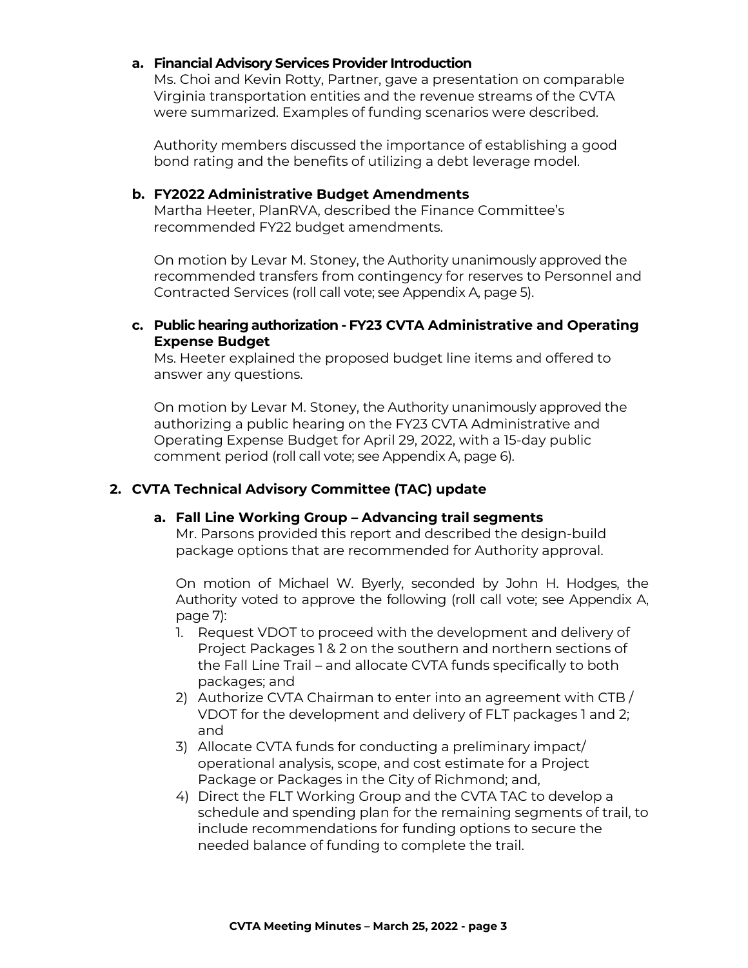### **a. Financial Advisory Services Provider Introduction**

Ms. Choi and Kevin Rotty, Partner, gave a presentation on comparable Virginia transportation entities and the revenue streams of the CVTA were summarized. Examples of funding scenarios were described.

Authority members discussed the importance of establishing a good bond rating and the benefits of utilizing a debt leverage model.

#### **b. FY2022 Administrative Budget Amendments**

Martha Heeter, PlanRVA, described the Finance Committee's recommended FY22 budget amendments.

On motion by Levar M. Stoney, the Authority unanimously approved the recommended transfers from contingency for reserves to Personnel and Contracted Services (roll call vote; see Appendix A, page 5).

#### **c. Public hearing authorization - FY23 CVTA Administrative and Operating Expense Budget**

Ms. Heeter explained the proposed budget line items and offered to answer any questions.

On motion by Levar M. Stoney, the Authority unanimously approved the authorizing a public hearing on the FY23 CVTA Administrative and Operating Expense Budget for April 29, 2022, with a 15-day public comment period (roll call vote; see Appendix A, page 6).

## **2. CVTA Technical Advisory Committee (TAC) update**

### **a. Fall Line Working Group – Advancing trail segments**

Mr. Parsons provided this report and described the design-build package options that are recommended for Authority approval.

On motion of Michael W. Byerly, seconded by John H. Hodges, the Authority voted to approve the following (roll call vote; see Appendix A, page 7):

- 1. Request VDOT to proceed with the development and delivery of Project Packages 1 & 2 on the southern and northern sections of the Fall Line Trail – and allocate CVTA funds specifically to both packages; and
- 2) Authorize CVTA Chairman to enter into an agreement with CTB / VDOT for the development and delivery of FLT packages 1 and 2; and
- 3) Allocate CVTA funds for conducting a preliminary impact/ operational analysis, scope, and cost estimate for a Project Package or Packages in the City of Richmond; and,
- 4) Direct the FLT Working Group and the CVTA TAC to develop a schedule and spending plan for the remaining segments of trail, to include recommendations for funding options to secure the needed balance of funding to complete the trail.